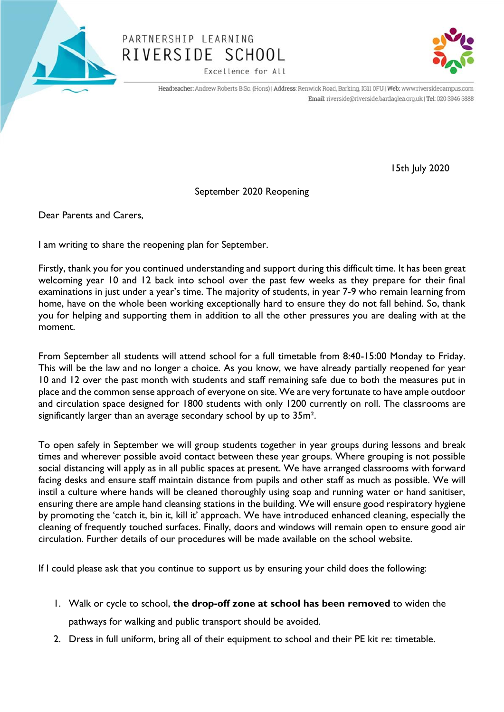

## PARTNERSHIP LEARNING RIVERSIDE SCHOOL

Excellence for All



Headteacher: Andrew Roberts B.Sc. (Hons) | Address: Renwick Road, Barking, IG11 0FU | Web: www.riversidecampus.com Email: riverside@riverside.bardaglea.org.uk | Tel: 020 3946 5888

15th July 2020

September 2020 Reopening

Dear Parents and Carers,

I am writing to share the reopening plan for September.

Firstly, thank you for you continued understanding and support during this difficult time. It has been great welcoming year 10 and 12 back into school over the past few weeks as they prepare for their final examinations in just under a year's time. The majority of students, in year 7-9 who remain learning from home, have on the whole been working exceptionally hard to ensure they do not fall behind. So, thank you for helping and supporting them in addition to all the other pressures you are dealing with at the moment.

From September all students will attend school for a full timetable from 8:40-15:00 Monday to Friday. This will be the law and no longer a choice. As you know, we have already partially reopened for year 10 and 12 over the past month with students and staff remaining safe due to both the measures put in place and the common sense approach of everyone on site. We are very fortunate to have ample outdoor and circulation space designed for 1800 students with only 1200 currently on roll. The classrooms are significantly larger than an average secondary school by up to 35m<sup>2</sup>.

To open safely in September we will group students together in year groups during lessons and break times and wherever possible avoid contact between these year groups. Where grouping is not possible social distancing will apply as in all public spaces at present. We have arranged classrooms with forward facing desks and ensure staff maintain distance from pupils and other staff as much as possible. We will instil a culture where hands will be cleaned thoroughly using soap and running water or hand sanitiser, ensuring there are ample hand cleansing stations in the building. We will ensure good respiratory hygiene by promoting the 'catch it, bin it, kill it' approach. We have introduced enhanced cleaning, especially the cleaning of frequently touched surfaces. Finally, doors and windows will remain open to ensure good air circulation. Further details of our procedures will be made available on the school website.

If I could please ask that you continue to support us by ensuring your child does the following:

- 1. Walk or cycle to school, **the drop-off zone at school has been removed** to widen the pathways for walking and public transport should be avoided.
- 2. Dress in full uniform, bring all of their equipment to school and their PE kit re: timetable.